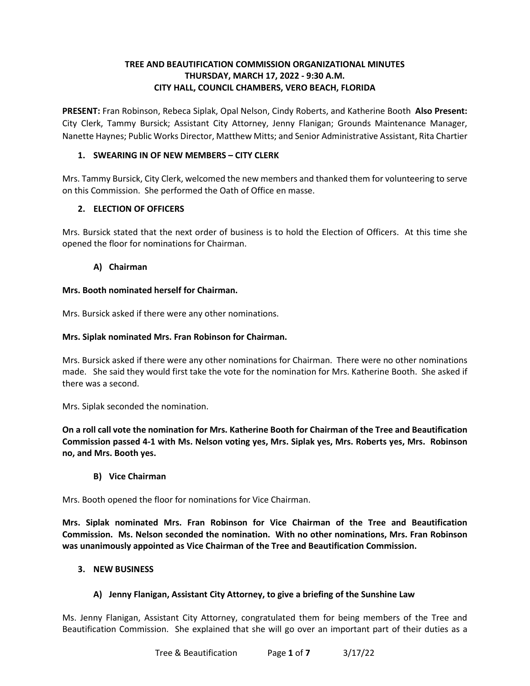# **TREE AND BEAUTIFICATION COMMISSION ORGANIZATIONAL MINUTES THURSDAY, MARCH 17, 2022 - 9:30 A.M. CITY HALL, COUNCIL CHAMBERS, VERO BEACH, FLORIDA**

 **PRESENT:** Fran Robinson, Rebeca Siplak, Opal Nelson, Cindy Roberts, and Katherine Booth **Also Present:**  City Clerk, Tammy Bursick; Assistant City Attorney, Jenny Flanigan; Grounds Maintenance Manager, Nanette Haynes; Public Works Director, Matthew Mitts; and Senior Administrative Assistant, Rita Chartier

# **1. SWEARING IN OF NEW MEMBERS – CITY CLERK**

 Mrs. Tammy Bursick, City Clerk, welcomed the new members and thanked them for volunteering to serve on this Commission. She performed the Oath of Office en masse.

## **2. ELECTION OF OFFICERS**

Mrs. Bursick stated that the next order of business is to hold the Election of Officers. At this time she opened the floor for nominations for Chairman.

## **A) Chairman**

## **Mrs. Booth nominated herself for Chairman.**

Mrs. Bursick asked if there were any other nominations.

## **Mrs. Siplak nominated Mrs. Fran Robinson for Chairman.**

 Mrs. Bursick asked if there were any other nominations for Chairman. There were no other nominations made. She said they would first take the vote for the nomination for Mrs. Katherine Booth. She asked if there was a second.

Mrs. Siplak seconded the nomination.

 **On a roll call vote the nomination for Mrs. Katherine Booth for Chairman of the Tree and Beautification Commission passed 4-1 with Ms. Nelson voting yes, Mrs. Siplak yes, Mrs. Roberts yes, Mrs. Robinson no, and Mrs. Booth yes. B) Vice Chairman** 

Mrs. Booth opened the floor for nominations for Vice Chairman.

 **Commission. Ms. Nelson seconded the nomination. With no other nominations, Mrs. Fran Robinson Mrs. Siplak nominated Mrs. Fran Robinson for Vice Chairman of the Tree and Beautification was unanimously appointed as Vice Chairman of the Tree and Beautification Commission.** 

## **3. NEW BUSINESS**

## **A) Jenny Flanigan, Assistant City Attorney, to give a briefing of the Sunshine Law**

 Ms. Jenny Flanigan, Assistant City Attorney, congratulated them for being members of the Tree and Beautification Commission. She explained that she will go over an important part of their duties as a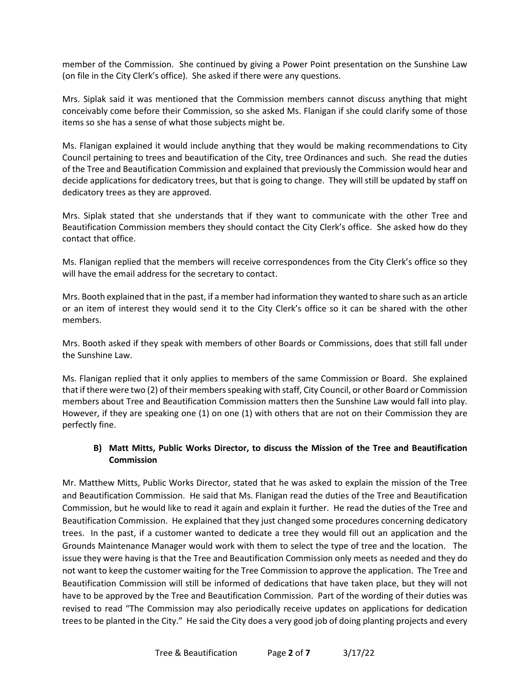member of the Commission. She continued by giving a Power Point presentation on the Sunshine Law (on file in the City Clerk's office). She asked if there were any questions.

 items so she has a sense of what those subjects might be. Mrs. Siplak said it was mentioned that the Commission members cannot discuss anything that might conceivably come before their Commission, so she asked Ms. Flanigan if she could clarify some of those

 Council pertaining to trees and beautification of the City, tree Ordinances and such. She read the duties of the Tree and Beautification Commission and explained that previously the Commission would hear and dedicatory trees as they are approved. Ms. Flanigan explained it would include anything that they would be making recommendations to City decide applications for dedicatory trees, but that is going to change. They will still be updated by staff on

dedicatory trees as they are approved.<br>Mrs. Siplak stated that she understands that if they want to communicate with the other Tree and Beautification Commission members they should contact the City Clerk's office. She asked how do they contact that office.

 will have the email address for the secretary to contact. Ms. Flanigan replied that the members will receive correspondences from the City Clerk's office so they

 Mrs. Booth explained that in the past, if a member had information they wanted to share such as an article or an item of interest they would send it to the City Clerk's office so it can be shared with the other members.

 Mrs. Booth asked if they speak with members of other Boards or Commissions, does that still fall under the Sunshine Law.

 Ms. Flanigan replied that it only applies to members of the same Commission or Board. She explained members about Tree and Beautification Commission matters then the Sunshine Law would fall into play. However, if they are speaking one (1) on one (1) with others that are not on their Commission they are that if there were two (2) of their members speaking with staff, City Council, or other Board or Commission perfectly fine.

## **B) Matt Mitts, Public Works Director, to discuss the Mission of the Tree and Beautification Commission**

 Mr. Matthew Mitts, Public Works Director, stated that he was asked to explain the mission of the Tree and Beautification Commission. He said that Ms. Flanigan read the duties of the Tree and Beautification Commission, but he would like to read it again and explain it further. He read the duties of the Tree and Beautification Commission. He explained that they just changed some procedures concerning dedicatory Grounds Maintenance Manager would work with them to select the type of tree and the location. The not want to keep the customer waiting for the Tree Commission to approve the application. The Tree and Beautification Commission will still be informed of dedications that have taken place, but they will not have to be approved by the Tree and Beautification Commission. Part of the wording of their duties was revised to read "The Commission may also periodically receive updates on applications for dedication trees to be planted in the City." He said the City does a very good job of doing planting projects and every trees. In the past, if a customer wanted to dedicate a tree they would fill out an application and the issue they were having is that the Tree and Beautification Commission only meets as needed and they do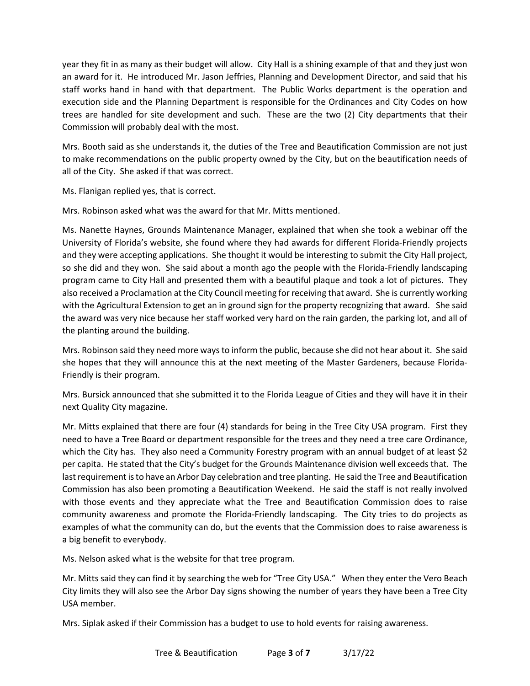year they fit in as many as their budget will allow. City Hall is a shining example of that and they just won an award for it. He introduced Mr. Jason Jeffries, Planning and Development Director, and said that his staff works hand in hand with that department. The Public Works department is the operation and execution side and the Planning Department is responsible for the Ordinances and City Codes on how trees are handled for site development and such. These are the two (2) City departments that their Commission will probably deal with the most.

 to make recommendations on the public property owned by the City, but on the beautification needs of all of the City. She asked if that was correct. Ms. Flanigan replied yes, that is correct. Mrs. Booth said as she understands it, the duties of the Tree and Beautification Commission are not just

Mrs. Robinson asked what was the award for that Mr. Mitts mentioned.

 Ms. Nanette Haynes, Grounds Maintenance Manager, explained that when she took a webinar off the so she did and they won. She said about a month ago the people with the Florida-Friendly landscaping program came to City Hall and presented them with a beautiful plaque and took a lot of pictures. They also received a Proclamation at the City Council meeting for receiving that award. She is currently working with the Agricultural Extension to get an in ground sign for the property recognizing that award. She said the planting around the building. University of Florida's website, she found where they had awards for different Florida-Friendly projects and they were accepting applications. She thought it would be interesting to submit the City Hall project, the award was very nice because her staff worked very hard on the rain garden, the parking lot, and all of

the planting around the building.<br>Mrs. Robinson said they need more ways to inform the public, because she did not hear about it. She said she hopes that they will announce this at the next meeting of the Master Gardeners, because Florida-Friendly is their program.

 Mrs. Bursick announced that she submitted it to the Florida League of Cities and they will have it in their next Quality City magazine.

 Mr. Mitts explained that there are four (4) standards for being in the Tree City USA program. First they need to have a Tree Board or department responsible for the trees and they need a tree care Ordinance, which the City has. They also need a Community Forestry program with an annual budget of at least \$2 per capita. He stated that the City's budget for the Grounds Maintenance division well exceeds that. The last requirement is to have an Arbor Day celebration and tree planting. He said the Tree and Beautification with those events and they appreciate what the Tree and Beautification Commission does to raise community awareness and promote the Florida-Friendly landscaping. The City tries to do projects as a big benefit to everybody. Commission has also been promoting a Beautification Weekend. He said the staff is not really involved examples of what the community can do, but the events that the Commission does to raise awareness is

Ms. Nelson asked what is the website for that tree program.

 Mr. Mitts said they can find it by searching the web for "Tree City USA." When they enter the Vero Beach City limits they will also see the Arbor Day signs showing the number of years they have been a Tree City USA member.

Mrs. Siplak asked if their Commission has a budget to use to hold events for raising awareness.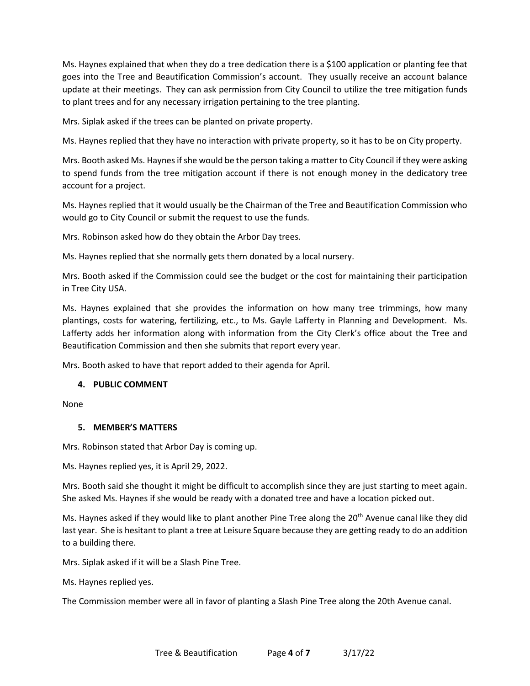Ms. Haynes explained that when they do a tree dedication there is a \$100 application or planting fee that goes into the Tree and Beautification Commission's account. They usually receive an account balance update at their meetings. They can ask permission from City Council to utilize the tree mitigation funds to plant trees and for any necessary irrigation pertaining to the tree planting.

Mrs. Siplak asked if the trees can be planted on private property.

Ms. Haynes replied that they have no interaction with private property, so it has to be on City property.

 Mrs. Booth asked Ms. Haynes if she would be the person taking a matter to City Council if they were asking to spend funds from the tree mitigation account if there is not enough money in the dedicatory tree account for a project.

 Ms. Haynes replied that it would usually be the Chairman of the Tree and Beautification Commission who would go to City Council or submit the request to use the funds.

Mrs. Robinson asked how do they obtain the Arbor Day trees.

Ms. Haynes replied that she normally gets them donated by a local nursery.

Mrs. Booth asked if the Commission could see the budget or the cost for maintaining their participation in Tree City USA.

 plantings, costs for watering, fertilizing, etc., to Ms. Gayle Lafferty in Planning and Development. Ms. Lafferty adds her information along with information from the City Clerk's office about the Tree and Ms. Haynes explained that she provides the information on how many tree trimmings, how many Beautification Commission and then she submits that report every year.

Mrs. Booth asked to have that report added to their agenda for April.

## **4. PUBLIC COMMENT**

None

## **5. MEMBER'S MATTERS**

Mrs. Robinson stated that Arbor Day is coming up.

Ms. Haynes replied yes, it is April 29, 2022.

 Mrs. Booth said she thought it might be difficult to accomplish since they are just starting to meet again. She asked Ms. Haynes if she would be ready with a donated tree and have a location picked out.

 last year. She is hesitant to plant a tree at Leisure Square because they are getting ready to do an addition Ms. Haynes asked if they would like to plant another Pine Tree along the 20<sup>th</sup> Avenue canal like they did to a building there.

Mrs. Siplak asked if it will be a Slash Pine Tree.

Ms. Haynes replied yes.

Ms. Haynes replied yes.<br>The Commission member were all in favor of planting a Slash Pine Tree along the 20th Avenue canal.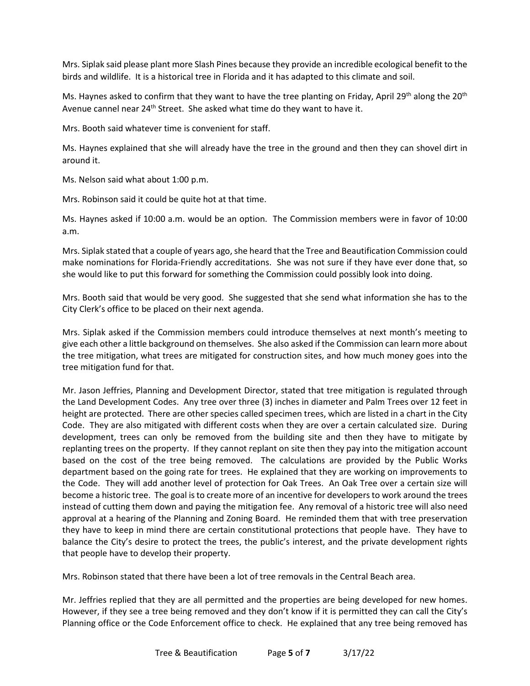Mrs. Siplak said please plant more Slash Pines because they provide an incredible ecological benefit to the birds and wildlife. It is a historical tree in Florida and it has adapted to this climate and soil.

Avenue cannel near 24<sup>th</sup> Street. She asked what time do they want to have it. Ms. Haynes asked to confirm that they want to have the tree planting on Friday, April 29th along the 20<sup>th</sup>

Mrs. Booth said whatever time is convenient for staff.

Ms. Haynes explained that she will already have the tree in the ground and then they can shovel dirt in around it.

Ms. Nelson said what about 1:00 p.m.

Mrs. Robinson said it could be quite hot at that time.

 Ms. Haynes asked if 10:00 a.m. would be an option. The Commission members were in favor of 10:00 a.m.

 Mrs. Siplak stated that a couple of years ago, she heard that the Tree and Beautification Commission could make nominations for Florida-Friendly accreditations. She was not sure if they have ever done that, so she would like to put this forward for something the Commission could possibly look into doing.

 Mrs. Booth said that would be very good. She suggested that she send what information she has to the City Clerk's office to be placed on their next agenda.

 give each other a little background on themselves. She also asked if the Commission can learn more about tree mitigation fund for that. Mrs. Siplak asked if the Commission members could introduce themselves at next month's meeting to the tree mitigation, what trees are mitigated for construction sites, and how much money goes into the

tree mitigation fund for that.<br>Mr. Jason Jeffries, Planning and Development Director, stated that tree mitigation is regulated through height are protected. There are other species called specimen trees, which are listed in a chart in the City Code. They are also mitigated with different costs when they are over a certain calculated size. During development, trees can only be removed from the building site and then they have to mitigate by based on the cost of the tree being removed. The calculations are provided by the Public Works department based on the going rate for trees. He explained that they are working on improvements to the Code. They will add another level of protection for Oak Trees. An Oak Tree over a certain size will become a historic tree. The goal is to create more of an incentive for developers to work around the trees instead of cutting them down and paying the mitigation fee. Any removal of a historic tree will also need approval at a hearing of the Planning and Zoning Board. He reminded them that with tree preservation that people have to develop their property. the Land Development Codes. Any tree over three (3) inches in diameter and Palm Trees over 12 feet in replanting trees on the property. If they cannot replant on site then they pay into the mitigation account they have to keep in mind there are certain constitutional protections that people have. They have to balance the City's desire to protect the trees, the public's interest, and the private development rights

Mrs. Robinson stated that there have been a lot of tree removals in the Central Beach area.

 Mr. Jeffries replied that they are all permitted and the properties are being developed for new homes. However, if they see a tree being removed and they don't know if it is permitted they can call the City's Planning office or the Code Enforcement office to check. He explained that any tree being removed has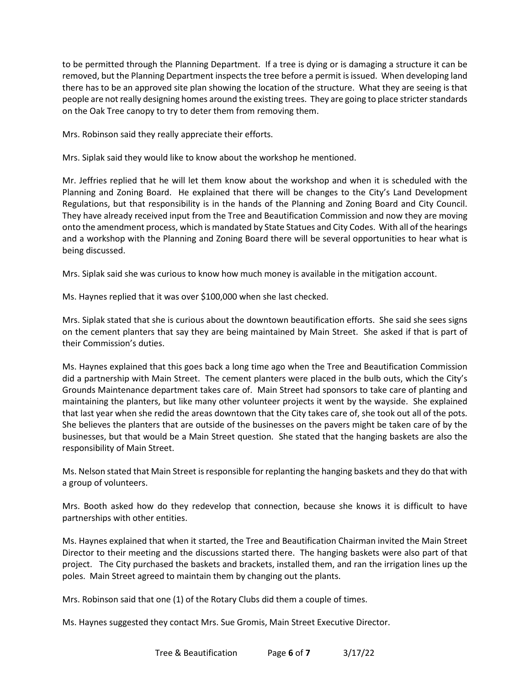to be permitted through the Planning Department. If a tree is dying or is damaging a structure it can be there has to be an approved site plan showing the location of the structure. What they are seeing is that people are not really designing homes around the existing trees. They are going to place stricter standards removed, but the Planning Department inspects the tree before a permit is issued. When developing land on the Oak Tree canopy to try to deter them from removing them.

Mrs. Robinson said they really appreciate their efforts.

Mrs. Siplak said they would like to know about the workshop he mentioned.

 Mr. Jeffries replied that he will let them know about the workshop and when it is scheduled with the Planning and Zoning Board. He explained that there will be changes to the City's Land Development Regulations, but that responsibility is in the hands of the Planning and Zoning Board and City Council.<br>They have already received input from the Tree and Beautification Commission and now they are moving onto the amendment process, which is mandated by State Statues and City Codes. With all of the hearings and a workshop with the Planning and Zoning Board there will be several opportunities to hear what is being discussed.

being discussed.<br>Mrs. Siplak said she was curious to know how much money is available in the mitigation account.

Ms. Haynes replied that it was over \$100,000 when she last checked.

 Mrs. Siplak stated that she is curious about the downtown beautification efforts. She said she sees signs on the cement planters that say they are being maintained by Main Street. She asked if that is part of their Commission's duties.

 Ms. Haynes explained that this goes back a long time ago when the Tree and Beautification Commission did a partnership with Main Street. The cement planters were placed in the bulb outs, which the City's Grounds Maintenance department takes care of. Main Street had sponsors to take care of planting and maintaining the planters, but like many other volunteer projects it went by the wayside. She explained that last year when she redid the areas downtown that the City takes care of, she took out all of the pots. responsibility of Main Street. She believes the planters that are outside of the businesses on the pavers might be taken care of by the businesses, but that would be a Main Street question. She stated that the hanging baskets are also the

Ms. Nelson stated that Main Street is responsible for replanting the hanging baskets and they do that with a group of volunteers.

Mrs. Booth asked how do they redevelop that connection, because she knows it is difficult to have partnerships with other entities.

 Ms. Haynes explained that when it started, the Tree and Beautification Chairman invited the Main Street Director to their meeting and the discussions started there. The hanging baskets were also part of that project. The City purchased the baskets and brackets, installed them, and ran the irrigation lines up the poles. Main Street agreed to maintain them by changing out the plants.

Mrs. Robinson said that one (1) of the Rotary Clubs did them a couple of times.

Ms. Haynes suggested they contact Mrs. Sue Gromis, Main Street Executive Director.